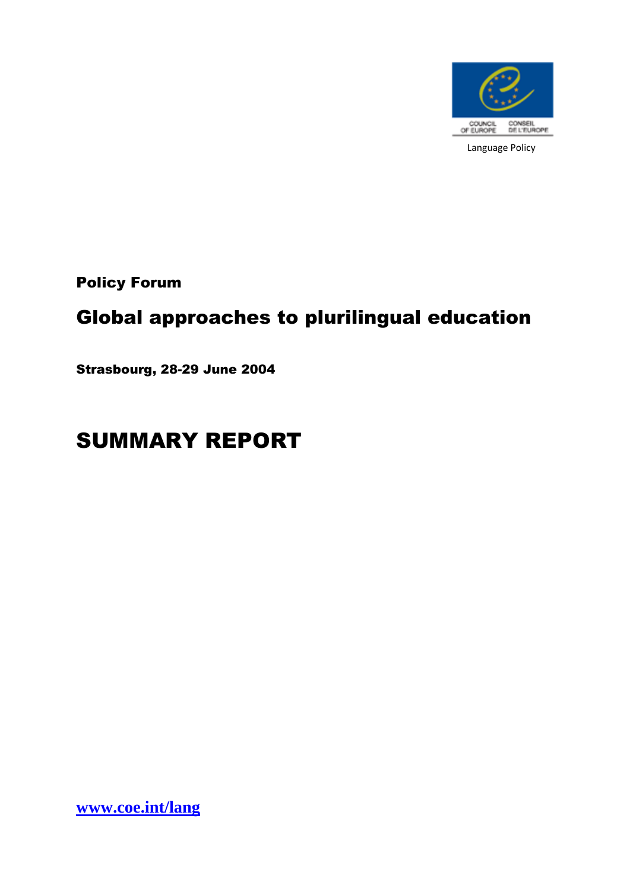

Policy Forum

# Global approaches to plurilingual education

Strasbourg, 28-29 June 2004

# SUMMARY REPORT

**[www.coe.int/lang](http://www.coe.int/lang)**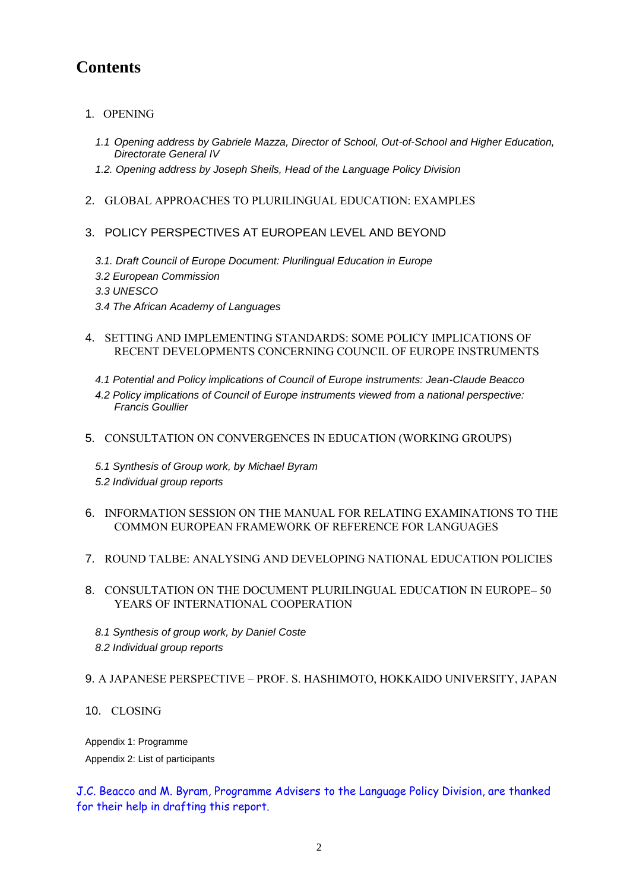# **Contents**

- 1[. OPENING](#page-3-0)
	- *[1.1 Opening address by Gabriele Mazza, Director of School, Out-of-School and Higher Education,](#page-3-1)  [Directorate General IV](#page-3-1)*
	- *[1.2. Opening address by Joseph Sheils, Head of the Language Policy Division](#page-5-0)*
- 2. [GLOBAL APPROACHES TO PLURILINGUAL EDUCATION: EXAMPLES](#page-6-0)
- [3. POLICY PERSPECTIVES AT EUROPEAN LEVEL AND BEYOND](#page-7-0)
	- *[3.1. Draft Council of Europe Document: Plurilingual Education in Europe](#page-7-1)*
	- *[3.2 European Commission](#page-7-2)*
	- *[3.3 UNESCO](#page-8-0)*
	- *[3.4 The African Academy of Languages](#page-8-1)*
- 4. [SETTING AND IMPLEMENTING STANDARDS: SOME POLICY IMPLICATIONS OF](#page-9-0)  [RECENT DEVELOPMENTS CONCERNING COUNCIL OF EUROPE INSTRUMENTS](#page-9-0)
	- *[4.1 Potential and Policy implications of Council of Europe instruments: Jean-Claude Beacco](#page-9-1)*
	- *[4.2 Policy implications of Council of Europe instruments viewed from a national perspective:](#page-9-2)  [Francis Goullier](#page-9-2)*
- 5. [CONSULTATION ON CONVERGENCES IN EDUCATION \(WORKING GROUPS\)](#page-10-0)
	- *[5.1 Synthesis of Group work, by Michael Byram](#page-10-1) [5.2 Individual group reports](#page-12-0)*
- 6. [INFORMATION SESSION ON THE MANUAL FOR RELATING EXAMINATIONS TO THE](#page-12-1)  [COMMON EUROPEAN FRAMEWORK OF REFERENCE FOR LANGUAGES](#page-12-1)
- 7. [ROUND TALBE: ANALYSING AND DEVELOPING NATIONAL EDUCATION POLICIES](#page-13-0)
- 8. [CONSULTATION ON THE DOCUMENT PLURILINGUAL EDUCATION IN EUROPE](#page-14-0) 50 [YEARS OF INTERNATIONAL COOPERATION](#page-14-0)
	- *[8.1 Synthesis of group work, by Daniel Coste](#page-15-0)*
	- *[8.2 Individual group reports](#page-17-0)*

#### 9. A JAPANESE PERSPECTIVE – [PROF. S. HASHIMOTO, HOKKAIDO UNIVERSITY, JAPAN](#page-17-1)

10. [CLOSING](#page-18-0)

[Appendix 1: Programme](#page-19-0)

[Appendix 2: List of participants](#page-19-1)

J.C. Beacco and M. Byram, Programme Advisers to the Language Policy Division, are thanked for their help in drafting this report.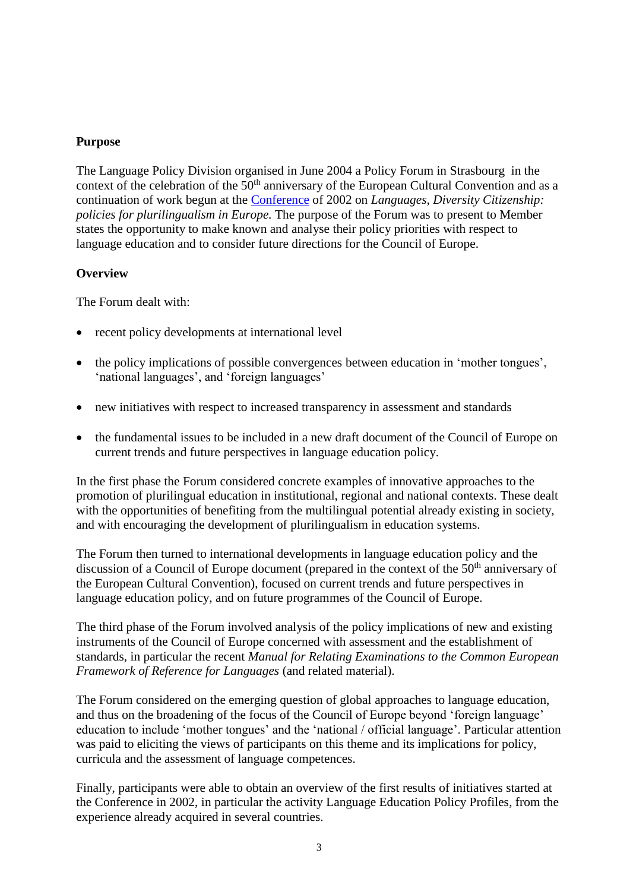#### **Purpose**

The Language Policy Division organised in June 2004 a Policy Forum in Strasbourg in the context of the celebration of the 50<sup>th</sup> anniversary of the European Cultural Convention and as a continuation of work begun at the [Conference](file:///F:/Linguistic%20-%20Transit%20files/Source/ConfReport_EN.pdf) of 2002 on *Languages, Diversity Citizenship: policies for plurilingualism in Europe.* The purpose of the Forum was to present to Member states the opportunity to make known and analyse their policy priorities with respect to language education and to consider future directions for the Council of Europe.

#### **Overview**

The Forum dealt with:

- recent policy developments at international level
- the policy implications of possible convergences between education in 'mother tongues', 'national languages', and 'foreign languages'
- new initiatives with respect to increased transparency in assessment and standards
- the fundamental issues to be included in a new draft document of the Council of Europe on current trends and future perspectives in language education policy.

In the first phase the Forum considered concrete examples of innovative approaches to the promotion of plurilingual education in institutional, regional and national contexts. These dealt with the opportunities of benefiting from the multilingual potential already existing in society, and with encouraging the development of plurilingualism in education systems.

The Forum then turned to international developments in language education policy and the discussion of a Council of Europe document (prepared in the context of the  $50<sup>th</sup>$  anniversary of the European Cultural Convention), focused on current trends and future perspectives in language education policy, and on future programmes of the Council of Europe.

The third phase of the Forum involved analysis of the policy implications of new and existing instruments of the Council of Europe concerned with assessment and the establishment of standards, in particular the recent *Manual for Relating Examinations to the Common European Framework of Reference for Languages* (and related material).

The Forum considered on the emerging question of global approaches to language education, and thus on the broadening of the focus of the Council of Europe beyond 'foreign language' education to include 'mother tongues' and the 'national / official language'. Particular attention was paid to eliciting the views of participants on this theme and its implications for policy, curricula and the assessment of language competences.

Finally, participants were able to obtain an overview of the first results of initiatives started at the Conference in 2002, in particular the activity Language Education Policy Profiles, from the experience already acquired in several countries.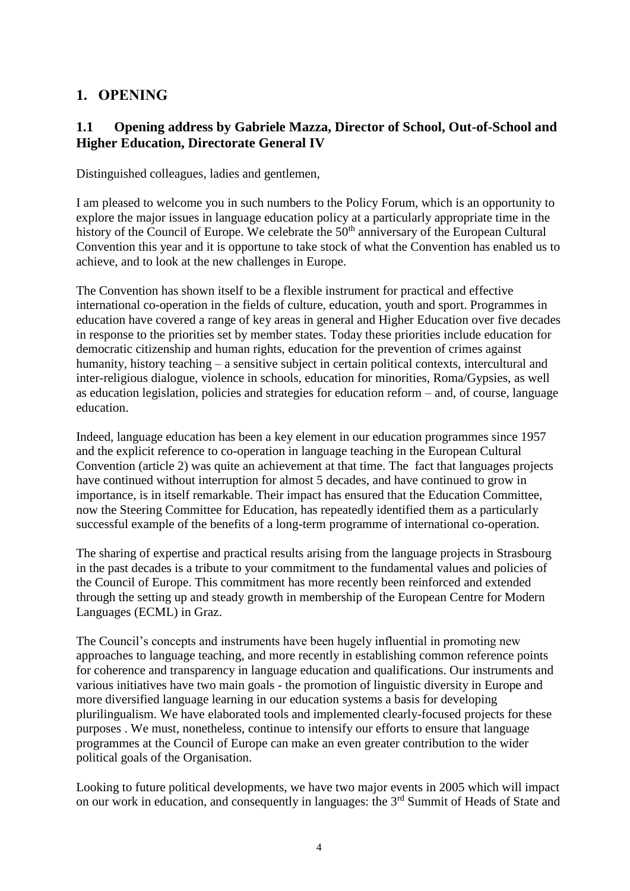# <span id="page-3-0"></span>**1. OPENING**

## <span id="page-3-1"></span>**1.1 Opening address by Gabriele Mazza, Director of School, Out-of-School and Higher Education, Directorate General IV**

Distinguished colleagues, ladies and gentlemen,

I am pleased to welcome you in such numbers to the Policy Forum, which is an opportunity to explore the major issues in language education policy at a particularly appropriate time in the history of the Council of Europe. We celebrate the  $50<sup>th</sup>$  anniversary of the European Cultural Convention this year and it is opportune to take stock of what the Convention has enabled us to achieve, and to look at the new challenges in Europe.

The Convention has shown itself to be a flexible instrument for practical and effective international co-operation in the fields of culture, education, youth and sport. Programmes in education have covered a range of key areas in general and Higher Education over five decades in response to the priorities set by member states. Today these priorities include education for democratic citizenship and human rights, education for the prevention of crimes against humanity, history teaching – a sensitive subject in certain political contexts, intercultural and inter-religious dialogue, violence in schools, education for minorities, Roma/Gypsies, as well as education legislation, policies and strategies for education reform – and, of course, language education.

Indeed, language education has been a key element in our education programmes since 1957 and the explicit reference to co-operation in language teaching in the European Cultural Convention (article 2) was quite an achievement at that time. The fact that languages projects have continued without interruption for almost 5 decades, and have continued to grow in importance, is in itself remarkable. Their impact has ensured that the Education Committee, now the Steering Committee for Education, has repeatedly identified them as a particularly successful example of the benefits of a long-term programme of international co-operation.

The sharing of expertise and practical results arising from the language projects in Strasbourg in the past decades is a tribute to your commitment to the fundamental values and policies of the Council of Europe. This commitment has more recently been reinforced and extended through the setting up and steady growth in membership of the European Centre for Modern Languages (ECML) in Graz.

The Council's concepts and instruments have been hugely influential in promoting new approaches to language teaching, and more recently in establishing common reference points for coherence and transparency in language education and qualifications. Our instruments and various initiatives have two main goals - the promotion of linguistic diversity in Europe and more diversified language learning in our education systems a basis for developing plurilingualism. We have elaborated tools and implemented clearly-focused projects for these purposes . We must, nonetheless, continue to intensify our efforts to ensure that language programmes at the Council of Europe can make an even greater contribution to the wider political goals of the Organisation.

Looking to future political developments, we have two major events in 2005 which will impact on our work in education, and consequently in languages: the 3rd Summit of Heads of State and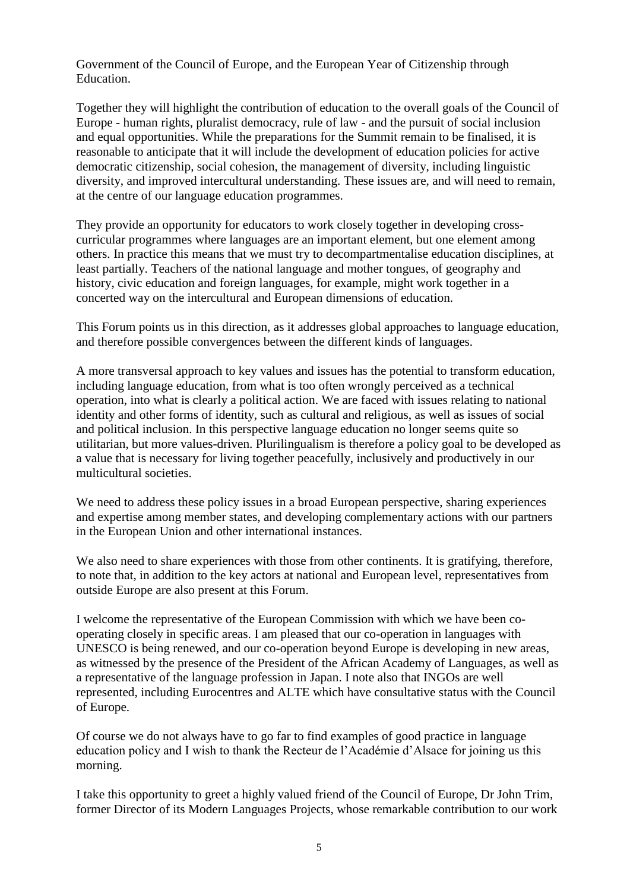Government of the Council of Europe, and the European Year of Citizenship through Education.

Together they will highlight the contribution of education to the overall goals of the Council of Europe - human rights, pluralist democracy, rule of law - and the pursuit of social inclusion and equal opportunities. While the preparations for the Summit remain to be finalised, it is reasonable to anticipate that it will include the development of education policies for active democratic citizenship, social cohesion, the management of diversity, including linguistic diversity, and improved intercultural understanding. These issues are, and will need to remain, at the centre of our language education programmes.

They provide an opportunity for educators to work closely together in developing crosscurricular programmes where languages are an important element, but one element among others. In practice this means that we must try to decompartmentalise education disciplines, at least partially. Teachers of the national language and mother tongues, of geography and history, civic education and foreign languages, for example, might work together in a concerted way on the intercultural and European dimensions of education.

This Forum points us in this direction, as it addresses global approaches to language education, and therefore possible convergences between the different kinds of languages.

A more transversal approach to key values and issues has the potential to transform education, including language education, from what is too often wrongly perceived as a technical operation, into what is clearly a political action. We are faced with issues relating to national identity and other forms of identity, such as cultural and religious, as well as issues of social and political inclusion. In this perspective language education no longer seems quite so utilitarian, but more values-driven. Plurilingualism is therefore a policy goal to be developed as a value that is necessary for living together peacefully, inclusively and productively in our multicultural societies.

We need to address these policy issues in a broad European perspective, sharing experiences and expertise among member states, and developing complementary actions with our partners in the European Union and other international instances.

We also need to share experiences with those from other continents. It is gratifying, therefore, to note that, in addition to the key actors at national and European level, representatives from outside Europe are also present at this Forum.

I welcome the representative of the European Commission with which we have been cooperating closely in specific areas. I am pleased that our co-operation in languages with UNESCO is being renewed, and our co-operation beyond Europe is developing in new areas, as witnessed by the presence of the President of the African Academy of Languages, as well as a representative of the language profession in Japan. I note also that INGOs are well represented, including Eurocentres and ALTE which have consultative status with the Council of Europe.

Of course we do not always have to go far to find examples of good practice in language education policy and I wish to thank the Recteur de l'Académie d'Alsace for joining us this morning.

I take this opportunity to greet a highly valued friend of the Council of Europe, Dr John Trim, former Director of its Modern Languages Projects, whose remarkable contribution to our work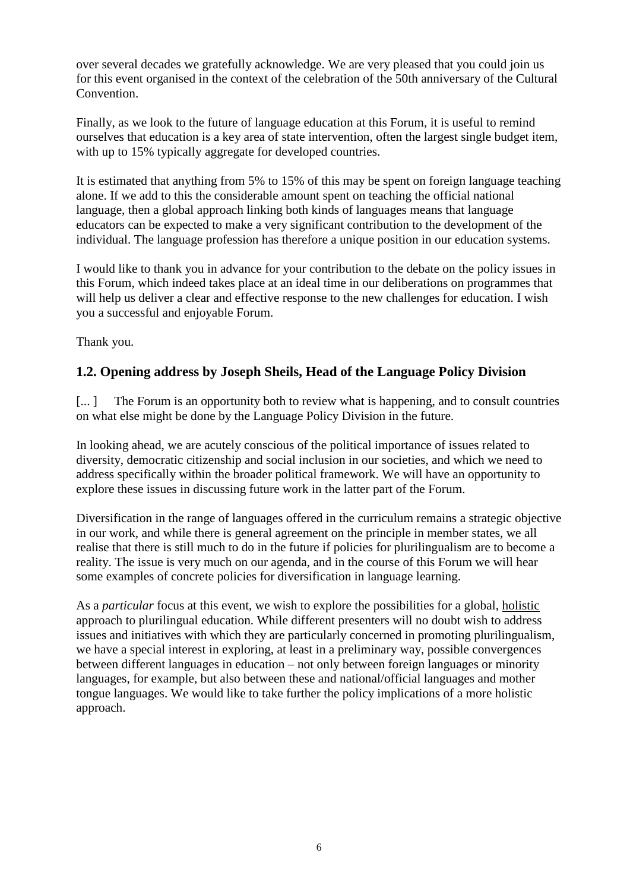over several decades we gratefully acknowledge. We are very pleased that you could join us for this event organised in the context of the celebration of the 50th anniversary of the Cultural Convention.

Finally, as we look to the future of language education at this Forum, it is useful to remind ourselves that education is a key area of state intervention, often the largest single budget item, with up to 15% typically aggregate for developed countries.

It is estimated that anything from 5% to 15% of this may be spent on foreign language teaching alone. If we add to this the considerable amount spent on teaching the official national language, then a global approach linking both kinds of languages means that language educators can be expected to make a very significant contribution to the development of the individual. The language profession has therefore a unique position in our education systems.

I would like to thank you in advance for your contribution to the debate on the policy issues in this Forum, which indeed takes place at an ideal time in our deliberations on programmes that will help us deliver a clear and effective response to the new challenges for education. I wish you a successful and enjoyable Forum.

Thank you.

## <span id="page-5-0"></span>**1.2. Opening address by Joseph Sheils, Head of the Language Policy Division**

[...] The Forum is an opportunity both to review what is happening, and to consult countries on what else might be done by the Language Policy Division in the future.

In looking ahead, we are acutely conscious of the political importance of issues related to diversity, democratic citizenship and social inclusion in our societies, and which we need to address specifically within the broader political framework. We will have an opportunity to explore these issues in discussing future work in the latter part of the Forum.

Diversification in the range of languages offered in the curriculum remains a strategic objective in our work, and while there is general agreement on the principle in member states, we all realise that there is still much to do in the future if policies for plurilingualism are to become a reality. The issue is very much on our agenda, and in the course of this Forum we will hear some examples of concrete policies for diversification in language learning.

As a *particular* focus at this event, we wish to explore the possibilities for a global, holistic approach to plurilingual education. While different presenters will no doubt wish to address issues and initiatives with which they are particularly concerned in promoting plurilingualism, we have a special interest in exploring, at least in a preliminary way, possible convergences between different languages in education – not only between foreign languages or minority languages, for example, but also between these and national/official languages and mother tongue languages. We would like to take further the policy implications of a more holistic approach.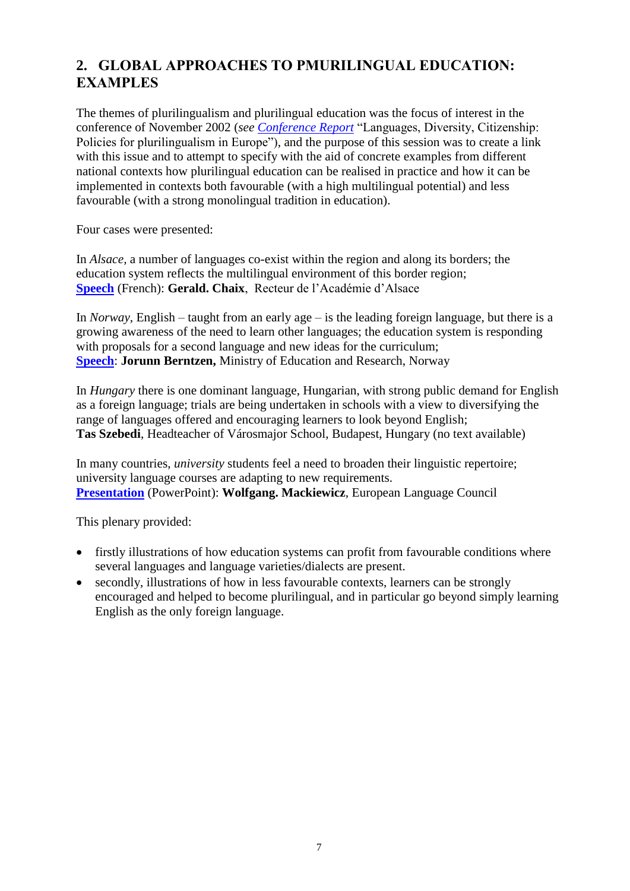# <span id="page-6-0"></span>**2. GLOBAL APPROACHES TO PMURILINGUAL EDUCATION: EXAMPLES**

The themes of plurilingualism and plurilingual education was the focus of interest in the conference of November 2002 (*see [Conference Report](file:///F:/Linguistic%20-%20Transit%20files/Source/ConfReport_EN.pdf)* "Languages, Diversity, Citizenship: Policies for plurilingualism in Europe"), and the purpose of this session was to create a link with this issue and to attempt to specify with the aid of concrete examples from different national contexts how plurilingual education can be realised in practice and how it can be implemented in contexts both favourable (with a high multilingual potential) and less favourable (with a strong monolingual tradition in education).

Four cases were presented:

In *Alsace,* a number of languages co-exist within the region and along its borders; the education system reflects the multilingual environment of this border region; **[Speech](http://www.coe.int/T/F/Coopération_culturelle/education/Langues/Politiques_linguistiques/Conférence/Chaix.pdf?L=F)** (French): **Gerald. Chaix**, Recteur de l'Académie d'Alsace

In *Norway,* English – taught from an early age – is the leading foreign language, but there is a growing awareness of the need to learn other languages; the education system is responding with proposals for a second language and new ideas for the curriculum; **[Speech](file:///F:/Linguistic%20-%20Transit%20files/Web/Berntzen.pdf%3fL=E)**: **Jorunn Berntzen,** Ministry of Education and Research, Norway

In *Hungary* there is one dominant language, Hungarian, with strong public demand for English as a foreign language; trials are being undertaken in schools with a view to diversifying the range of languages offered and encouraging learners to look beyond English; **Tas Szebedi**, Headteacher of Városmajor School, Budapest, Hungary (no text available)

In many countries, *university* students feel a need to broaden their linguistic repertoire; university language courses are adapting to new requirements. **[Presentation](file:///F:/Linguistic%20-%20Transit%20files/Web/Mackiewicz.pdf%3fL=E)** (PowerPoint): **Wolfgang. Mackiewicz**, European Language Council

This plenary provided:

- firstly illustrations of how education systems can profit from favourable conditions where several languages and language varieties/dialects are present.
- secondly, illustrations of how in less favourable contexts, learners can be strongly encouraged and helped to become plurilingual, and in particular go beyond simply learning English as the only foreign language.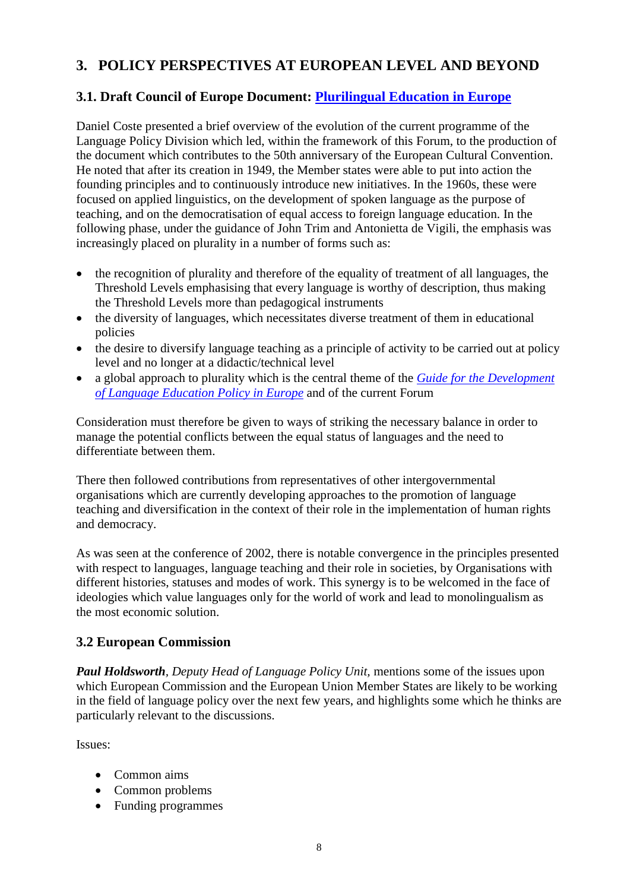# <span id="page-7-0"></span>**3. POLICY PERSPECTIVES AT EUROPEAN LEVEL AND BEYOND**

## <span id="page-7-1"></span>**3.1. Draft Council of Europe Document: [Plurilingual Education in Europe](file:///F:/Linguistic%20-%20Transit%20files/Web/Plurilingual%20Education%20in%20Europe.pdf%3fL=E)**

Daniel Coste presented a brief overview of the evolution of the current programme of the Language Policy Division which led, within the framework of this Forum, to the production of the document which contributes to the 50th anniversary of the European Cultural Convention. He noted that after its creation in 1949, the Member states were able to put into action the founding principles and to continuously introduce new initiatives. In the 1960s, these were focused on applied linguistics, on the development of spoken language as the purpose of teaching, and on the democratisation of equal access to foreign language education. In the following phase, under the guidance of John Trim and Antonietta de Vigili, the emphasis was increasingly placed on plurality in a number of forms such as:

- the recognition of plurality and therefore of the equality of treatment of all languages, the Threshold Levels emphasising that every language is worthy of description, thus making the Threshold Levels more than pedagogical instruments
- the diversity of languages, which necessitates diverse treatment of them in educational policies
- the desire to diversify language teaching as a principle of activity to be carried out at policy level and no longer at a didactic/technical level
- a global approach to plurality which is the central theme of the *Guide for [the Development](http://www.coe.int/T/E/Cultural_Co-operation/education/Languages/Language_Policy/Policy_development_activities/Guide/LongEGuide.pdf?L=E)  [of Language Education Policy in Europe](http://www.coe.int/T/E/Cultural_Co-operation/education/Languages/Language_Policy/Policy_development_activities/Guide/LongEGuide.pdf?L=E)* and of the current Forum

Consideration must therefore be given to ways of striking the necessary balance in order to manage the potential conflicts between the equal status of languages and the need to differentiate between them.

There then followed contributions from representatives of other intergovernmental organisations which are currently developing approaches to the promotion of language teaching and diversification in the context of their role in the implementation of human rights and democracy.

As was seen at the conference of 2002, there is notable convergence in the principles presented with respect to languages, language teaching and their role in societies, by Organisations with different histories, statuses and modes of work. This synergy is to be welcomed in the face of ideologies which value languages only for the world of work and lead to monolingualism as the most economic solution.

## <span id="page-7-2"></span>**3.2 European Commission**

*Paul Holdsworth, Deputy Head of Language Policy Unit,* mentions some of the issues upon which European Commission and the European Union Member States are likely to be working in the field of language policy over the next few years, and highlights some which he thinks are particularly relevant to the discussions.

Issues:

- Common aims
- Common problems
- Funding programmes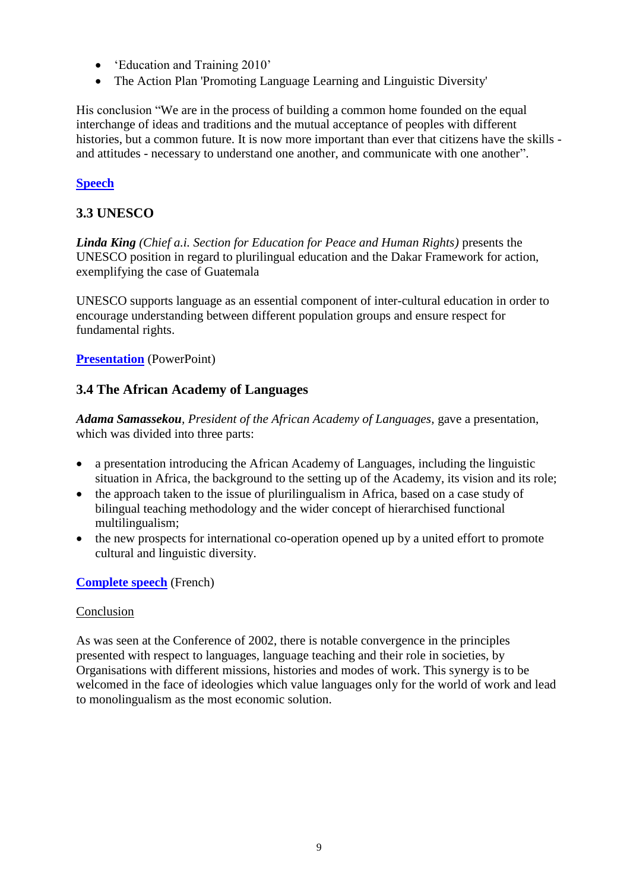- 'Education and Training 2010'
- The Action Plan 'Promoting Language Learning and Linguistic Diversity'

His conclusion "We are in the process of building a common home founded on the equal interchange of ideas and traditions and the mutual acceptance of peoples with different histories, but a common future. It is now more important than ever that citizens have the skills and attitudes - necessary to understand one another, and communicate with one another".

### **[Speech](file:///F:/Linguistic%20-%20Transit%20files/Web/Holdsworth.pdf%3fL=E)**

## <span id="page-8-0"></span>**3.3 UNESCO**

*Linda King (Chief a.i. Section for Education for Peace and Human Rights)* presents the UNESCO position in regard to plurilingual education and the Dakar Framework for action, exemplifying the case of Guatemala

UNESCO supports language as an essential component of inter-cultural education in order to encourage understanding between different population groups and ensure respect for fundamental rights.

#### **[Presentation](file:///F:/Linguistic%20-%20Transit%20files/Web/UNESCO.pdf%3fL=E)** (PowerPoint)

### <span id="page-8-1"></span>**3.4 The African Academy of Languages**

*Adama Samassekou, President of the African Academy of Languages,* gave a presentation, which was divided into three parts:

- a presentation introducing the African Academy of Languages, including the linguistic situation in Africa, the background to the setting up of the Academy, its vision and its role;
- the approach taken to the issue of plurilingualism in Africa, based on a case study of bilingual teaching methodology and the wider concept of hierarchised functional multilingualism;
- the new prospects for international co-operation opened up by a united effort to promote cultural and linguistic diversity.

#### **[Complete](http://www.coe.int/T/F/Coopération_culturelle/education/Langues/Politiques_linguistiques/Conférence/Samassekou.pdf?L=F) speech** (French)

#### Conclusion

As was seen at the Conference of 2002, there is notable convergence in the principles presented with respect to languages, language teaching and their role in societies, by Organisations with different missions, histories and modes of work. This synergy is to be welcomed in the face of ideologies which value languages only for the world of work and lead to monolingualism as the most economic solution.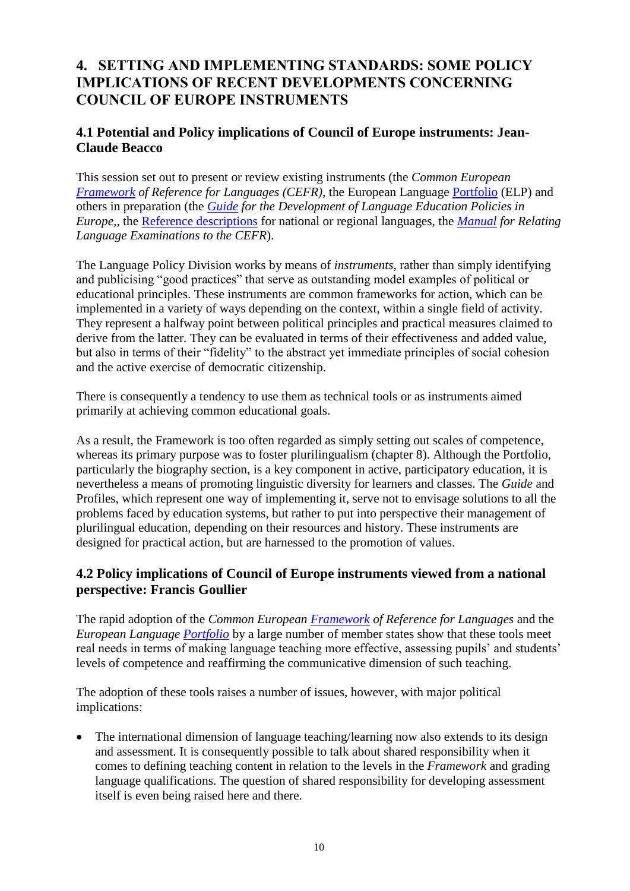# <span id="page-9-0"></span>**4. SETTING AND IMPLEMENTING STANDARDS: SOME POLICY IMPLICATIONS OF RECENT DEVELOPMENTS CONCERNING COUNCIL OF EUROPE INSTRUMENTS**

## <span id="page-9-1"></span>**4.1 Potential and Policy implications of Council of Europe instruments: Jean-Claude Beacco**

This session set out to present or review existing instruments (the *Common European [Framework](http://www.coe.int/T/E/Cultural_Co-operation/education/Languages/Language_Policy/Common_Framework_of_Reference/default.asp#TopOfPage) of Reference for Languages (CEFR)*, the European Language [Portfolio](http://www.coe.int/portfolio) (ELP) and others in preparation (the *[Guide](http://www.coe.int/T/E/Cultural_Co-operation/education/Languages/Language_Policy/Policy_development_activities/Guide/LongEGuide.pdf?L=E) for the Development of Language Education Policies in Europe,*, the [Reference descriptions](http://www.coe.int/T/E/Cultural_Co-operation/education/Languages/Language_Policy/Reference_levels/default.asp#TopOfPage) for national or regional languages, the *[Manual](http://www.coe.int/T/E/Cultural_Co-operation/education/Languages/Language_Policy/Manual/default.asp#TopOfPage) for Relating Language Examinations to the CEFR*).

The Language Policy Division works by means of *instruments,* rather than simply identifying and publicising "good practices" that serve as outstanding model examples of political or educational principles. These instruments are common frameworks for action, which can be implemented in a variety of ways depending on the context, within a single field of activity. They represent a halfway point between political principles and practical measures claimed to derive from the latter. They can be evaluated in terms of their effectiveness and added value, but also in terms of their "fidelity" to the abstract yet immediate principles of social cohesion and the active exercise of democratic citizenship.

There is consequently a tendency to use them as technical tools or as instruments aimed primarily at achieving common educational goals.

As a result, the Framework is too often regarded as simply setting out scales of competence, whereas its primary purpose was to foster plurilingualism (chapter 8). Although the Portfolio, particularly the biography section, is a key component in active, participatory education, it is nevertheless a means of promoting linguistic diversity for learners and classes. The *Guide* and Profiles, which represent one way of implementing it, serve not to envisage solutions to all the problems faced by education systems, but rather to put into perspective their management of plurilingual education, depending on their resources and history. These instruments are designed for practical action, but are harnessed to the promotion of values.

## <span id="page-9-2"></span>**4.2 Policy implications of Council of Europe instruments viewed from a national perspective: Francis Goullier**

The rapid adoption of the *Common European [Framework](http://www.coe.int/T/E/Cultural_Co-operation/education/Languages/Language_Policy/Common_Framework_of_Reference/default.asp#TopOfPage) of Reference for Languages* and the *European Language [Portfolio](http://www.coe.int/portfolio)* by a large number of member states show that these tools meet real needs in terms of making language teaching more effective, assessing pupils' and students' levels of competence and reaffirming the communicative dimension of such teaching.

The adoption of these tools raises a number of issues, however, with major political implications:

• The international dimension of language teaching/learning now also extends to its design and assessment. It is consequently possible to talk about shared responsibility when it comes to defining teaching content in relation to the levels in the *Framework* and grading language qualifications. The question of shared responsibility for developing assessment itself is even being raised here and there.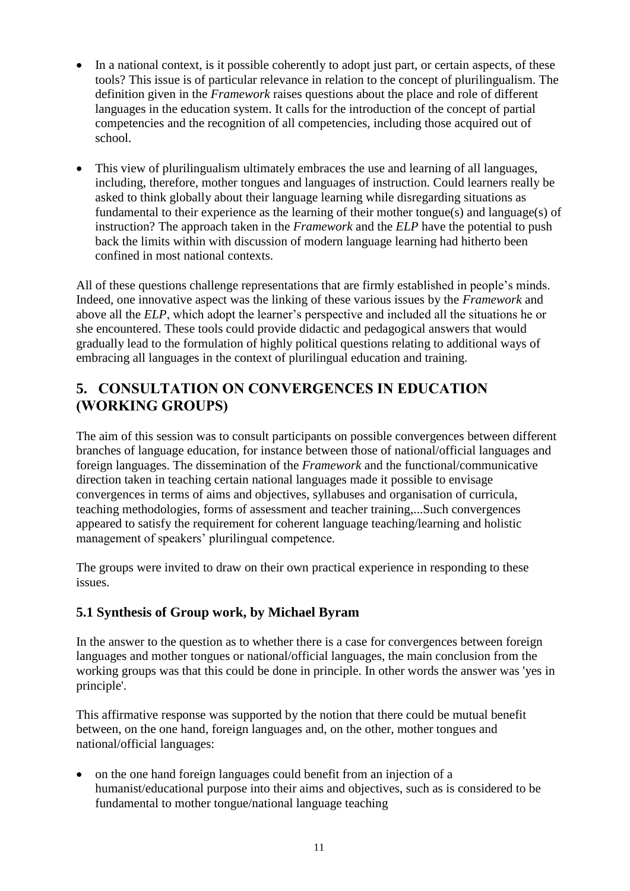- In a national context, is it possible coherently to adopt just part, or certain aspects, of these tools? This issue is of particular relevance in relation to the concept of plurilingualism. The definition given in the *Framework* raises questions about the place and role of different languages in the education system. It calls for the introduction of the concept of partial competencies and the recognition of all competencies, including those acquired out of school.
- This view of plurilingualism ultimately embraces the use and learning of all languages, including, therefore, mother tongues and languages of instruction. Could learners really be asked to think globally about their language learning while disregarding situations as fundamental to their experience as the learning of their mother tongue(s) and language(s) of instruction? The approach taken in the *Framework* and the *ELP* have the potential to push back the limits within with discussion of modern language learning had hitherto been confined in most national contexts.

All of these questions challenge representations that are firmly established in people's minds. Indeed, one innovative aspect was the linking of these various issues by the *Framework* and above all the *ELP*, which adopt the learner's perspective and included all the situations he or she encountered. These tools could provide didactic and pedagogical answers that would gradually lead to the formulation of highly political questions relating to additional ways of embracing all languages in the context of plurilingual education and training.

# <span id="page-10-0"></span>**5. CONSULTATION ON CONVERGENCES IN EDUCATION (WORKING GROUPS)**

The aim of this session was to consult participants on possible convergences between different branches of language education, for instance between those of national/official languages and foreign languages. The dissemination of the *Framework* and the functional/communicative direction taken in teaching certain national languages made it possible to envisage convergences in terms of aims and objectives, syllabuses and organisation of curricula, teaching methodologies, forms of assessment and teacher training,...Such convergences appeared to satisfy the requirement for coherent language teaching/learning and holistic management of speakers' plurilingual competence.

The groups were invited to draw on their own practical experience in responding to these issues.

## <span id="page-10-1"></span>**5.1 Synthesis of Group work, by Michael Byram**

In the answer to the question as to whether there is a case for convergences between foreign languages and mother tongues or national/official languages, the main conclusion from the working groups was that this could be done in principle. In other words the answer was 'yes in principle'.

This affirmative response was supported by the notion that there could be mutual benefit between, on the one hand, foreign languages and, on the other, mother tongues and national/official languages:

 on the one hand foreign languages could benefit from an injection of a humanist/educational purpose into their aims and objectives, such as is considered to be fundamental to mother tongue/national language teaching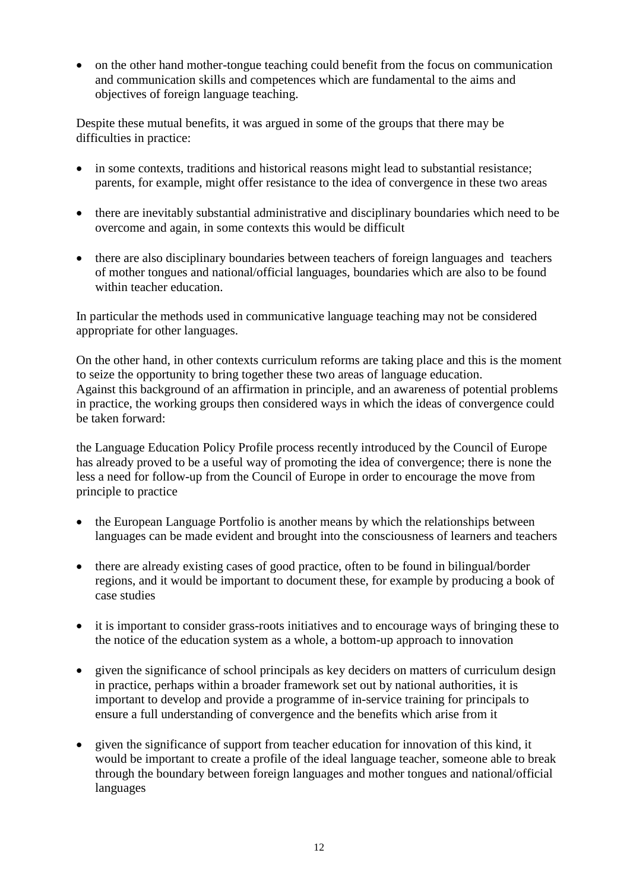• on the other hand mother-tongue teaching could benefit from the focus on communication and communication skills and competences which are fundamental to the aims and objectives of foreign language teaching.

Despite these mutual benefits, it was argued in some of the groups that there may be difficulties in practice:

- in some contexts, traditions and historical reasons might lead to substantial resistance; parents, for example, might offer resistance to the idea of convergence in these two areas
- there are inevitably substantial administrative and disciplinary boundaries which need to be overcome and again, in some contexts this would be difficult
- there are also disciplinary boundaries between teachers of foreign languages and teachers of mother tongues and national/official languages, boundaries which are also to be found within teacher education.

In particular the methods used in communicative language teaching may not be considered appropriate for other languages.

On the other hand, in other contexts curriculum reforms are taking place and this is the moment to seize the opportunity to bring together these two areas of language education. Against this background of an affirmation in principle, and an awareness of potential problems in practice, the working groups then considered ways in which the ideas of convergence could be taken forward:

the Language Education Policy Profile process recently introduced by the Council of Europe has already proved to be a useful way of promoting the idea of convergence; there is none the less a need for follow-up from the Council of Europe in order to encourage the move from principle to practice

- the European Language Portfolio is another means by which the relationships between languages can be made evident and brought into the consciousness of learners and teachers
- there are already existing cases of good practice, often to be found in bilingual/border regions, and it would be important to document these, for example by producing a book of case studies
- it is important to consider grass-roots initiatives and to encourage ways of bringing these to the notice of the education system as a whole, a bottom-up approach to innovation
- given the significance of school principals as key deciders on matters of curriculum design in practice, perhaps within a broader framework set out by national authorities, it is important to develop and provide a programme of in-service training for principals to ensure a full understanding of convergence and the benefits which arise from it
- given the significance of support from teacher education for innovation of this kind, it would be important to create a profile of the ideal language teacher, someone able to break through the boundary between foreign languages and mother tongues and national/official languages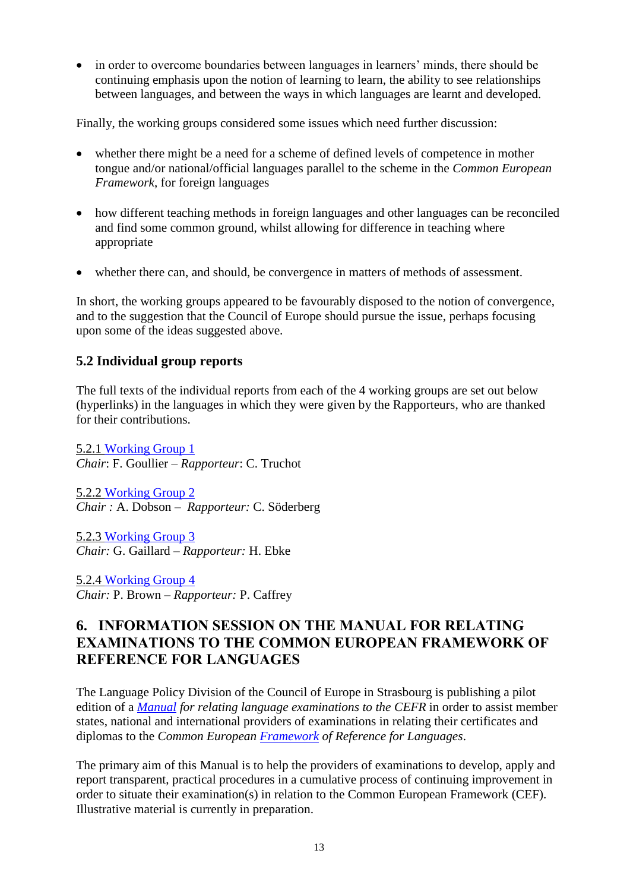in order to overcome boundaries between languages in learners' minds, there should be continuing emphasis upon the notion of learning to learn, the ability to see relationships between languages, and between the ways in which languages are learnt and developed.

Finally, the working groups considered some issues which need further discussion:

- whether there might be a need for a scheme of defined levels of competence in mother tongue and/or national/official languages parallel to the scheme in the *Common European Framework*, for foreign languages
- how different teaching methods in foreign languages and other languages can be reconciled and find some common ground, whilst allowing for difference in teaching where appropriate
- whether there can, and should, be convergence in matters of methods of assessment.

In short, the working groups appeared to be favourably disposed to the notion of convergence, and to the suggestion that the Council of Europe should pursue the issue, perhaps focusing upon some of the ideas suggested above.

## <span id="page-12-0"></span>**5.2 Individual group reports**

The full texts of the individual reports from each of the 4 working groups are set out below (hyperlinks) in the languages in which they were given by the Rapporteurs, who are thanked for their contributions.

5.2.1 [Working Group](http://www.coe.int/T/F/Coopération_culturelle/education/Langues/Politiques_linguistiques/Conférence/Rapport521.pdf?L=F) 1 *Chair*: F. Goullier – *Rapporteur*: C. Truchot

5.2.2 [Working Group](http://www.coe.int/T/F/Coopération_culturelle/education/Langues/Politiques_linguistiques/Conférence/Rapport522.pdf?L=F) 2 *Chair :* A. Dobson *– Rapporteur:* C. Söderberg

5.2.3 [Working Group 3](file:///F:/Linguistic%20-%20Transit%20files/Web/Rapport523.pdf%3fL=E) *Chair:* G. Gaillard *– Rapporteur:* H. Ebke

5.2.4 [Working Group](file:///F:/Linguistic%20-%20Transit%20files/Web/Rapport524.pdf%3fL=E) 4 *Chair:* P. Brown – *Rapporteur:* P. Caffrey

# <span id="page-12-1"></span>**6. INFORMATION SESSION ON THE MANUAL FOR RELATING EXAMINATIONS TO THE COMMON EUROPEAN FRAMEWORK OF REFERENCE FOR LANGUAGES**

The Language Policy Division of the Council of Europe in Strasbourg is publishing a pilot edition of a *[Manual](http://www.coe.int/T/E/Cultural_Co-operation/education/Languages/Language_Policy/Manual/default.asp#TopOfPage) for relating language examinations to the CEFR* in order to assist member states, national and international providers of examinations in relating their certificates and diplomas to the *Common European [Framework](http://www.coe.int/T/E/Cultural_Co-operation/education/Languages/Language_Policy/Common_Framework_of_Reference/default.asp#TopOfPage) of Reference for Languages*.

The primary aim of this Manual is to help the providers of examinations to develop, apply and report transparent, practical procedures in a cumulative process of continuing improvement in order to situate their examination(s) in relation to the Common European Framework (CEF). Illustrative material is currently in preparation.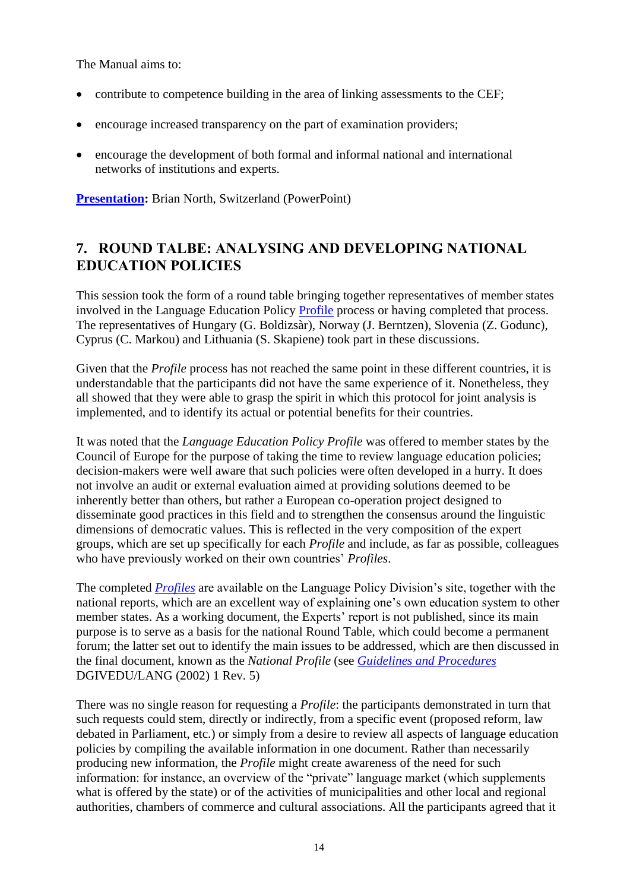The Manual aims to:

- contribute to competence building in the area of linking assessments to the CEF;
- encourage increased transparency on the part of examination providers;
- encourage the development of both formal and informal national and international networks of institutions and experts.

**[Presentation:](file:///F:/Linguistic%20-%20Transit%20files/Web/North.pdf%3fL=E)** Brian North, Switzerland (PowerPoint)

# <span id="page-13-0"></span>**7. ROUND TALBE: ANALYSING AND DEVELOPING NATIONAL EDUCATION POLICIES**

This session took the form of a round table bringing together representatives of member states involved in the Language Education Policy [Profile](http://www.coe.int/T/E/Cultural_Co-operation/education/Languages/Language_Policy/Policy_development_activities/Language_Education_Policy_Profiles/default.asp#TopOfPage) process or having completed that process. The representatives of Hungary (G. Boldizsàr), Norway (J. Berntzen), Slovenia (Z. Godunc), Cyprus (C. Markou) and Lithuania (S. Skapiene) took part in these discussions.

Given that the *Profile* process has not reached the same point in these different countries, it is understandable that the participants did not have the same experience of it. Nonetheless, they all showed that they were able to grasp the spirit in which this protocol for joint analysis is implemented, and to identify its actual or potential benefits for their countries.

It was noted that the *Language Education Policy Profile* was offered to member states by the Council of Europe for the purpose of taking the time to review language education policies; decision-makers were well aware that such policies were often developed in a hurry. It does not involve an audit or external evaluation aimed at providing solutions deemed to be inherently better than others, but rather a European co-operation project designed to disseminate good practices in this field and to strengthen the consensus around the linguistic dimensions of democratic values. This is reflected in the very composition of the expert groups, which are set up specifically for each *Profile* and include, as far as possible, colleagues who have previously worked on their own countries' *Profiles*.

The completed *[Profiles](http://www.coe.int/T/E/Cultural_Co-operation/education/Languages/Language_Policy/Policy_development_activities/Language_Education_Policy_Profiles/default.asp)* are available on the Language Policy Division's site, together with the national reports, which are an excellent way of explaining one's own education system to other member states. As a working document, the Experts' report is not published, since its main purpose is to serve as a basis for the national Round Table, which could become a permanent forum; the latter set out to identify the main issues to be addressed, which are then discussed in the final document, known as the *National Profile* (see *[Guidelines and Procedures](http://www.coe.int/T/E/Cultural_Co-operation/education/Languages/Language_Policy/Policy_development_activities/Language_Education_Policy_Profiles/Guidelines.pdf?L=E)* DGIVEDU/LANG (2002) 1 Rev. 5)

There was no single reason for requesting a *Profile*: the participants demonstrated in turn that such requests could stem, directly or indirectly, from a specific event (proposed reform, law debated in Parliament, etc.) or simply from a desire to review all aspects of language education policies by compiling the available information in one document. Rather than necessarily producing new information, the *Profile* might create awareness of the need for such information: for instance, an overview of the "private" language market (which supplements what is offered by the state) or of the activities of municipalities and other local and regional authorities, chambers of commerce and cultural associations. All the participants agreed that it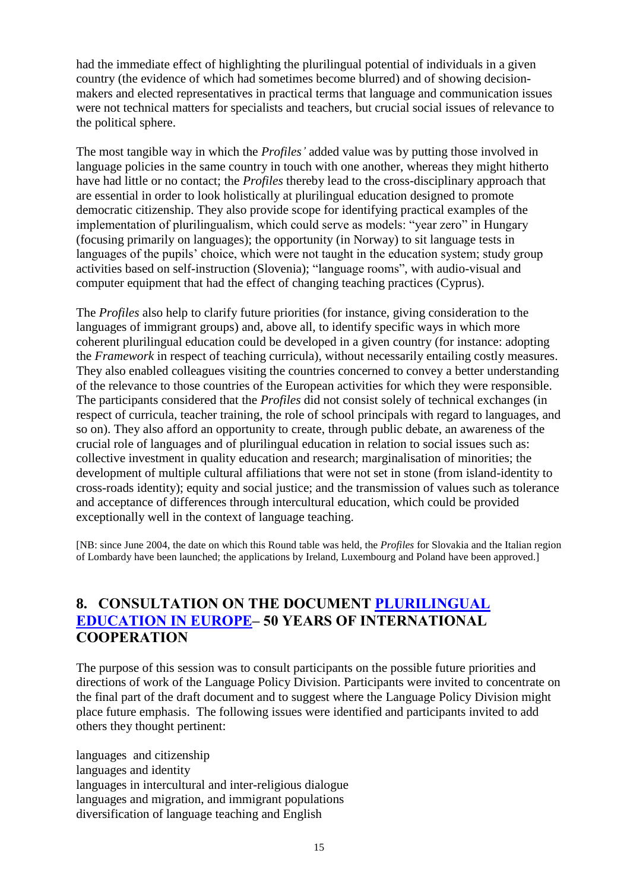had the immediate effect of highlighting the plurilingual potential of individuals in a given country (the evidence of which had sometimes become blurred) and of showing decisionmakers and elected representatives in practical terms that language and communication issues were not technical matters for specialists and teachers, but crucial social issues of relevance to the political sphere.

The most tangible way in which the *Profiles'* added value was by putting those involved in language policies in the same country in touch with one another, whereas they might hitherto have had little or no contact; the *Profiles* thereby lead to the cross-disciplinary approach that are essential in order to look holistically at plurilingual education designed to promote democratic citizenship. They also provide scope for identifying practical examples of the implementation of plurilingualism, which could serve as models: "year zero" in Hungary (focusing primarily on languages); the opportunity (in Norway) to sit language tests in languages of the pupils' choice, which were not taught in the education system; study group activities based on self-instruction (Slovenia); "language rooms", with audio-visual and computer equipment that had the effect of changing teaching practices (Cyprus).

The *Profiles* also help to clarify future priorities (for instance, giving consideration to the languages of immigrant groups) and, above all, to identify specific ways in which more coherent plurilingual education could be developed in a given country (for instance: adopting the *Framework* in respect of teaching curricula), without necessarily entailing costly measures. They also enabled colleagues visiting the countries concerned to convey a better understanding of the relevance to those countries of the European activities for which they were responsible. The participants considered that the *Profiles* did not consist solely of technical exchanges (in respect of curricula, teacher training, the role of school principals with regard to languages, and so on). They also afford an opportunity to create, through public debate, an awareness of the crucial role of languages and of plurilingual education in relation to social issues such as: collective investment in quality education and research; marginalisation of minorities; the development of multiple cultural affiliations that were not set in stone (from island-identity to cross-roads identity); equity and social justice; and the transmission of values such as tolerance and acceptance of differences through intercultural education, which could be provided exceptionally well in the context of language teaching.

[NB: since June 2004, the date on which this Round table was held, the *Profiles* for Slovakia and the Italian region of Lombardy have been launched; the applications by Ireland, Luxembourg and Poland have been approved.]

# <span id="page-14-0"></span>**8. CONSULTATION ON THE DOCUMENT [PLURILINGUAL](file:///F:/Linguistic%20-%20Transit%20files/Web/Plurilingual%20Education%20in%20Europe.pdf%3fL=E)  [EDUCATION IN EUROPE](file:///F:/Linguistic%20-%20Transit%20files/Web/Plurilingual%20Education%20in%20Europe.pdf%3fL=E)– 50 YEARS OF INTERNATIONAL COOPERATION**

The purpose of this session was to consult participants on the possible future priorities and directions of work of the Language Policy Division. Participants were invited to concentrate on the final part of the draft document and to suggest where the Language Policy Division might place future emphasis. The following issues were identified and participants invited to add others they thought pertinent:

languages and citizenship languages and identity languages in intercultural and inter-religious dialogue languages and migration, and immigrant populations diversification of language teaching and English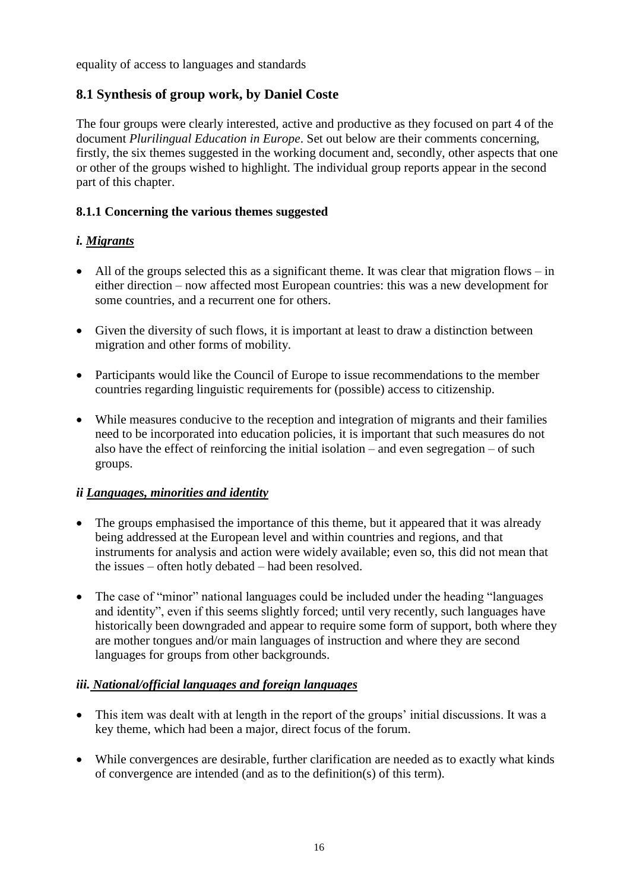equality of access to languages and standards

## <span id="page-15-0"></span>**8.1 Synthesis of group work, by Daniel Coste**

The four groups were clearly interested, active and productive as they focused on part 4 of the document *Plurilingual Education in Europe*. Set out below are their comments concerning, firstly, the six themes suggested in the working document and, secondly, other aspects that one or other of the groups wished to highlight. The individual group reports appear in the second part of this chapter.

#### **8.1.1 Concerning the various themes suggested**

#### *i. Migrants*

- All of the groups selected this as a significant theme. It was clear that migration flows in either direction – now affected most European countries: this was a new development for some countries, and a recurrent one for others.
- Given the diversity of such flows, it is important at least to draw a distinction between migration and other forms of mobility.
- Participants would like the Council of Europe to issue recommendations to the member countries regarding linguistic requirements for (possible) access to citizenship.
- While measures conducive to the reception and integration of migrants and their families need to be incorporated into education policies, it is important that such measures do not also have the effect of reinforcing the initial isolation – and even segregation – of such groups.

#### *ii Languages, minorities and identity*

- The groups emphasised the importance of this theme, but it appeared that it was already being addressed at the European level and within countries and regions, and that instruments for analysis and action were widely available; even so, this did not mean that the issues – often hotly debated – had been resolved.
- The case of "minor" national languages could be included under the heading "languages and identity", even if this seems slightly forced; until very recently, such languages have historically been downgraded and appear to require some form of support, both where they are mother tongues and/or main languages of instruction and where they are second languages for groups from other backgrounds.

#### *iii. National/official languages and foreign languages*

- This item was dealt with at length in the report of the groups' initial discussions. It was a key theme, which had been a major, direct focus of the forum.
- While convergences are desirable, further clarification are needed as to exactly what kinds of convergence are intended (and as to the definition(s) of this term).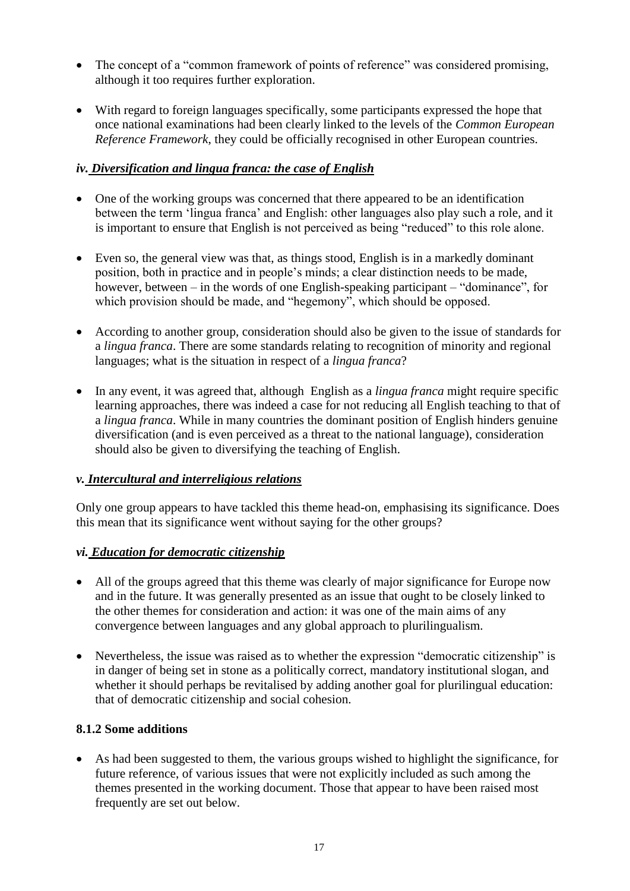- The concept of a "common framework of points of reference" was considered promising. although it too requires further exploration.
- With regard to foreign languages specifically, some participants expressed the hope that once national examinations had been clearly linked to the levels of the *Common European Reference Framework*, they could be officially recognised in other European countries.

## *iv. Diversification and lingua franca: the case of English*

- One of the working groups was concerned that there appeared to be an identification between the term 'lingua franca' and English: other languages also play such a role, and it is important to ensure that English is not perceived as being "reduced" to this role alone.
- Even so, the general view was that, as things stood, English is in a markedly dominant position, both in practice and in people's minds; a clear distinction needs to be made, however, between – in the words of one English-speaking participant – "dominance", for which provision should be made, and "hegemony", which should be opposed.
- According to another group, consideration should also be given to the issue of standards for a *lingua franca*. There are some standards relating to recognition of minority and regional languages; what is the situation in respect of a *lingua franca*?
- In any event, it was agreed that, although English as a *lingua franca* might require specific learning approaches, there was indeed a case for not reducing all English teaching to that of a *lingua franca*. While in many countries the dominant position of English hinders genuine diversification (and is even perceived as a threat to the national language), consideration should also be given to diversifying the teaching of English.

#### *v. Intercultural and interreligious relations*

Only one group appears to have tackled this theme head-on, emphasising its significance. Does this mean that its significance went without saying for the other groups?

#### *vi. Education for democratic citizenship*

- All of the groups agreed that this theme was clearly of major significance for Europe now and in the future. It was generally presented as an issue that ought to be closely linked to the other themes for consideration and action: it was one of the main aims of any convergence between languages and any global approach to plurilingualism.
- Nevertheless, the issue was raised as to whether the expression "democratic citizenship" is in danger of being set in stone as a politically correct, mandatory institutional slogan, and whether it should perhaps be revitalised by adding another goal for plurilingual education: that of democratic citizenship and social cohesion.

#### **8.1.2 Some additions**

 As had been suggested to them, the various groups wished to highlight the significance, for future reference, of various issues that were not explicitly included as such among the themes presented in the working document. Those that appear to have been raised most frequently are set out below.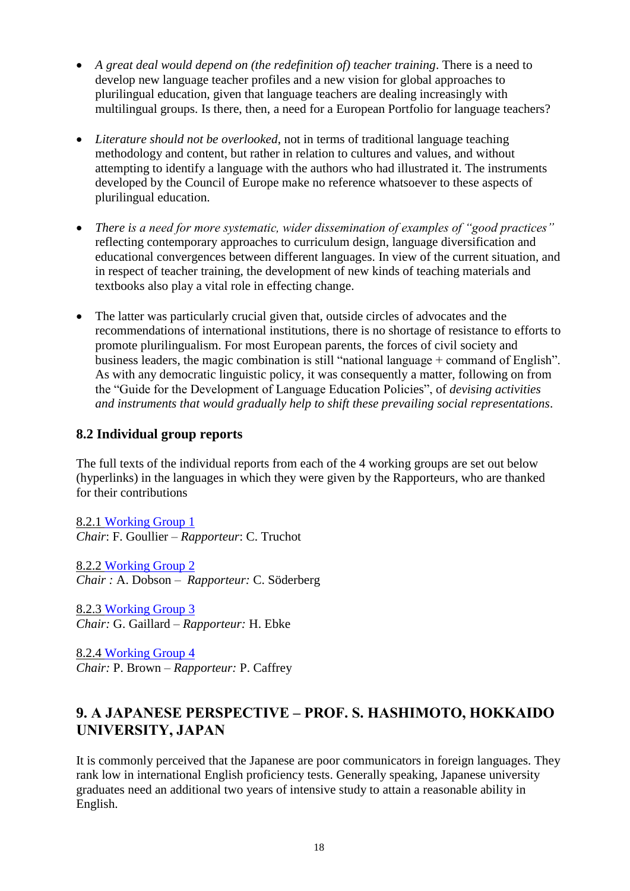- *A great deal would depend on (the redefinition of) teacher training*. There is a need to develop new language teacher profiles and a new vision for global approaches to plurilingual education, given that language teachers are dealing increasingly with multilingual groups. Is there, then, a need for a European Portfolio for language teachers?
- *Literature should not be overlooked*, not in terms of traditional language teaching methodology and content, but rather in relation to cultures and values, and without attempting to identify a language with the authors who had illustrated it. The instruments developed by the Council of Europe make no reference whatsoever to these aspects of plurilingual education.
- *There is a need for more systematic, wider dissemination of examples of "good practices"*  reflecting contemporary approaches to curriculum design, language diversification and educational convergences between different languages. In view of the current situation, and in respect of teacher training, the development of new kinds of teaching materials and textbooks also play a vital role in effecting change.
- The latter was particularly crucial given that, outside circles of advocates and the recommendations of international institutions, there is no shortage of resistance to efforts to promote plurilingualism. For most European parents, the forces of civil society and business leaders, the magic combination is still "national language + command of English". As with any democratic linguistic policy, it was consequently a matter, following on from the "Guide for the Development of Language Education Policies", of *devising activities and instruments that would gradually help to shift these prevailing social representations*.

## <span id="page-17-0"></span>**8.2 Individual group reports**

The full texts of the individual reports from each of the 4 working groups are set out below (hyperlinks) in the languages in which they were given by the Rapporteurs, who are thanked for their contributions

8.2.1 [Working Group 1](http://www.coe.int/T/F/Coopération_culturelle/education/Langues/Politiques_linguistiques/Conférence/Rapport821.pdf?L=F) *Chair*: F. Goullier – *Rapporteur*: C. Truchot

8.2.2 [Working Group 2](http://www.coe.int/T/F/Coopération_culturelle/education/Langues/Politiques_linguistiques/Conférence/Rapport822.pdf?L=F) *Chair :* A. Dobson *– Rapporteur:* C. Söderberg

8.2.3 [Working Group 3](file:///F:/Linguistic%20-%20Transit%20files/Web/Rapport823.pdf%3fL=E) *Chair:* G. Gaillard *– Rapporteur:* H. Ebke

8.2.4 [Working Group 4](file:///F:/Linguistic%20-%20Transit%20files/Web/Rapport824.pdf%3fL=E) *Chair:* P. Brown – *Rapporteur:* P. Caffrey

# <span id="page-17-1"></span>**9. A JAPANESE PERSPECTIVE – PROF. S. HASHIMOTO, HOKKAIDO UNIVERSITY, JAPAN**

It is commonly perceived that the Japanese are poor communicators in foreign languages. They rank low in international English proficiency tests. Generally speaking, Japanese university graduates need an additional two years of intensive study to attain a reasonable ability in English.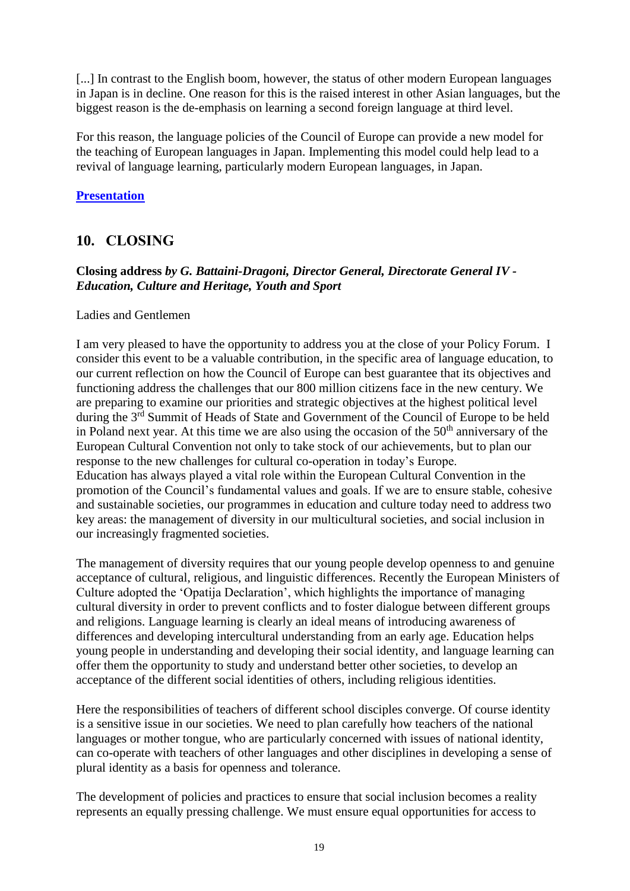[...] In contrast to the English boom, however, the status of other modern European languages in Japan is in decline. One reason for this is the raised interest in other Asian languages, but the biggest reason is the de-emphasis on learning a second foreign language at third level.

For this reason, the language policies of the Council of Europe can provide a new model for the teaching of European languages in Japan. Implementing this model could help lead to a revival of language learning, particularly modern European languages, in Japan.

#### **[Presentation](file:///F:/Linguistic%20-%20Transit%20files/Source/HASHIMOTO_Forum04.doc)**

## <span id="page-18-0"></span>**10. CLOSING**

#### **Closing address** *by G. Battaini-Dragoni, Director General, Directorate General IV - Education, Culture and Heritage, Youth and Sport*

#### Ladies and Gentlemen

I am very pleased to have the opportunity to address you at the close of your Policy Forum. I consider this event to be a valuable contribution, in the specific area of language education, to our current reflection on how the Council of Europe can best guarantee that its objectives and functioning address the challenges that our 800 million citizens face in the new century. We are preparing to examine our priorities and strategic objectives at the highest political level during the 3<sup>rd</sup> Summit of Heads of State and Government of the Council of Europe to be held in Poland next year. At this time we are also using the occasion of the  $50<sup>th</sup>$  anniversary of the European Cultural Convention not only to take stock of our achievements, but to plan our response to the new challenges for cultural co-operation in today's Europe. Education has always played a vital role within the European Cultural Convention in the promotion of the Council's fundamental values and goals. If we are to ensure stable, cohesive and sustainable societies, our programmes in education and culture today need to address two key areas: the management of diversity in our multicultural societies, and social inclusion in our increasingly fragmented societies.

The management of diversity requires that our young people develop openness to and genuine acceptance of cultural, religious, and linguistic differences. Recently the European Ministers of Culture adopted the 'Opatija Declaration', which highlights the importance of managing cultural diversity in order to prevent conflicts and to foster dialogue between different groups and religions. Language learning is clearly an ideal means of introducing awareness of differences and developing intercultural understanding from an early age. Education helps young people in understanding and developing their social identity, and language learning can offer them the opportunity to study and understand better other societies, to develop an acceptance of the different social identities of others, including religious identities.

Here the responsibilities of teachers of different school disciples converge. Of course identity is a sensitive issue in our societies. We need to plan carefully how teachers of the national languages or mother tongue, who are particularly concerned with issues of national identity, can co-operate with teachers of other languages and other disciplines in developing a sense of plural identity as a basis for openness and tolerance.

The development of policies and practices to ensure that social inclusion becomes a reality represents an equally pressing challenge. We must ensure equal opportunities for access to